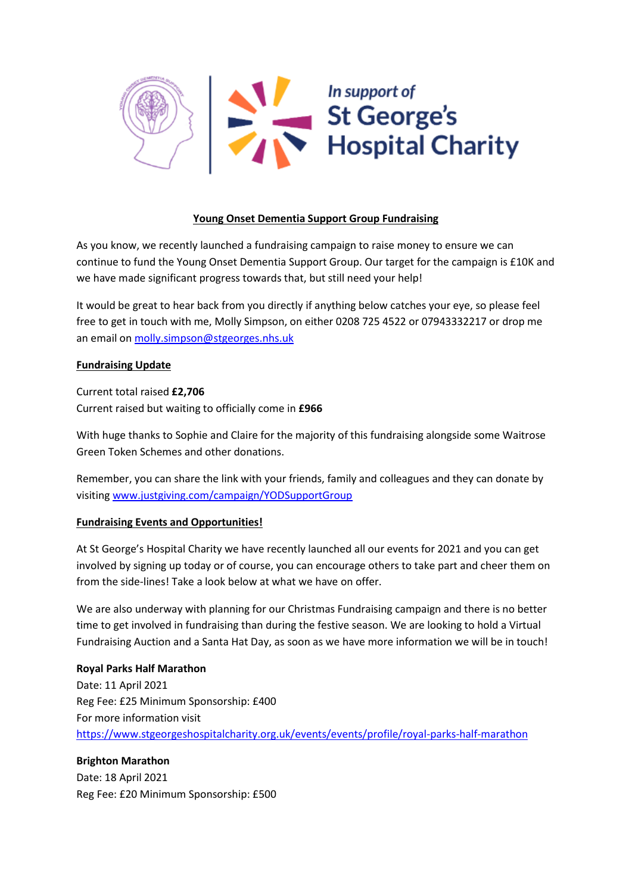

### **Young Onset Dementia Support Group Fundraising**

As you know, we recently launched a fundraising campaign to raise money to ensure we can continue to fund the Young Onset Dementia Support Group. Our target for the campaign is £10K and we have made significant progress towards that, but still need your help!

It would be great to hear back from you directly if anything below catches your eye, so please feel free to get in touch with me, Molly Simpson, on either 0208 725 4522 or 07943332217 or drop me an email o[n molly.simpson@stgeorges.nhs.uk](mailto:molly.simpson@stgeorges.nhs.uk)

### **Fundraising Update**

Current total raised **£2,706**  Current raised but waiting to officially come in **£966**

With huge thanks to Sophie and Claire for the majority of this fundraising alongside some Waitrose Green Token Schemes and other donations.

Remember, you can share the link with your friends, family and colleagues and they can donate by visiting [www.justgiving.com/campaign/YODSupportGroup](http://www.justgiving.com/campaign/YODSupportGroup)

#### **Fundraising Events and Opportunities!**

At St George's Hospital Charity we have recently launched all our events for 2021 and you can get involved by signing up today or of course, you can encourage others to take part and cheer them on from the side-lines! Take a look below at what we have on offer.

We are also underway with planning for our Christmas Fundraising campaign and there is no better time to get involved in fundraising than during the festive season. We are looking to hold a Virtual Fundraising Auction and a Santa Hat Day, as soon as we have more information we will be in touch!

**Royal Parks Half Marathon** Date: 11 April 2021 Reg Fee: £25 Minimum Sponsorship: £400 For more information visit <https://www.stgeorgeshospitalcharity.org.uk/events/events/profile/royal-parks-half-marathon>

**Brighton Marathon** Date: 18 April 2021 Reg Fee: £20 Minimum Sponsorship: £500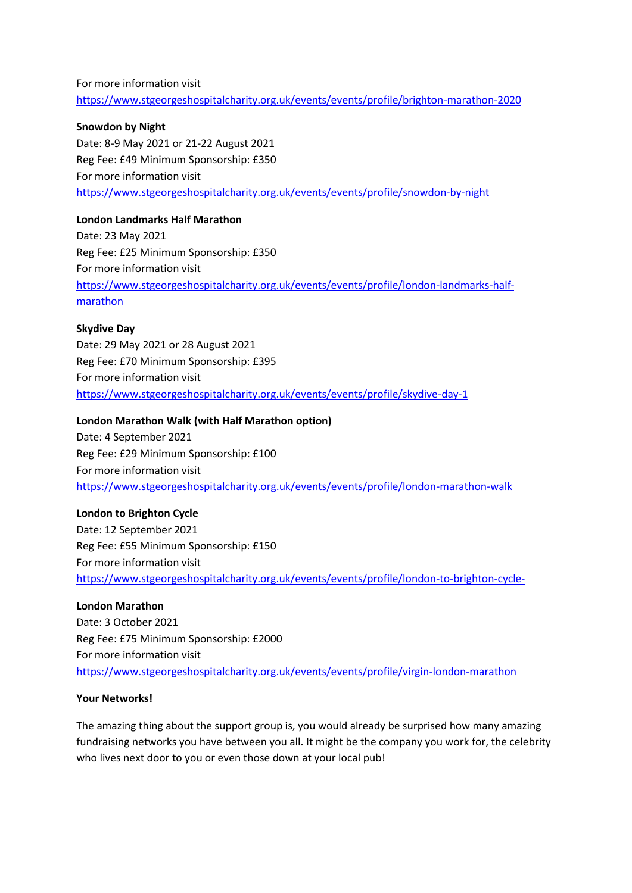# For more information visit <https://www.stgeorgeshospitalcharity.org.uk/events/events/profile/brighton-marathon-2020>

### **Snowdon by Night**

Date: 8-9 May 2021 or 21-22 August 2021 Reg Fee: £49 Minimum Sponsorship: £350 For more information visit <https://www.stgeorgeshospitalcharity.org.uk/events/events/profile/snowdon-by-night>

### **London Landmarks Half Marathon**

Date: 23 May 2021 Reg Fee: £25 Minimum Sponsorship: £350 For more information visit [https://www.stgeorgeshospitalcharity.org.uk/events/events/profile/london-landmarks-half](https://www.stgeorgeshospitalcharity.org.uk/events/events/profile/london-landmarks-half-marathon)[marathon](https://www.stgeorgeshospitalcharity.org.uk/events/events/profile/london-landmarks-half-marathon)

# **Skydive Day**

Date: 29 May 2021 or 28 August 2021 Reg Fee: £70 Minimum Sponsorship: £395 For more information visit <https://www.stgeorgeshospitalcharity.org.uk/events/events/profile/skydive-day-1>

# **London Marathon Walk (with Half Marathon option)**

Date: 4 September 2021 Reg Fee: £29 Minimum Sponsorship: £100 For more information visit <https://www.stgeorgeshospitalcharity.org.uk/events/events/profile/london-marathon-walk>

# **London to Brighton Cycle**

Date: 12 September 2021 Reg Fee: £55 Minimum Sponsorship: £150 For more information visit <https://www.stgeorgeshospitalcharity.org.uk/events/events/profile/london-to-brighton-cycle->

# **London Marathon**

Date: 3 October 2021 Reg Fee: £75 Minimum Sponsorship: £2000 For more information visit <https://www.stgeorgeshospitalcharity.org.uk/events/events/profile/virgin-london-marathon>

# **Your Networks!**

The amazing thing about the support group is, you would already be surprised how many amazing fundraising networks you have between you all. It might be the company you work for, the celebrity who lives next door to you or even those down at your local pub!